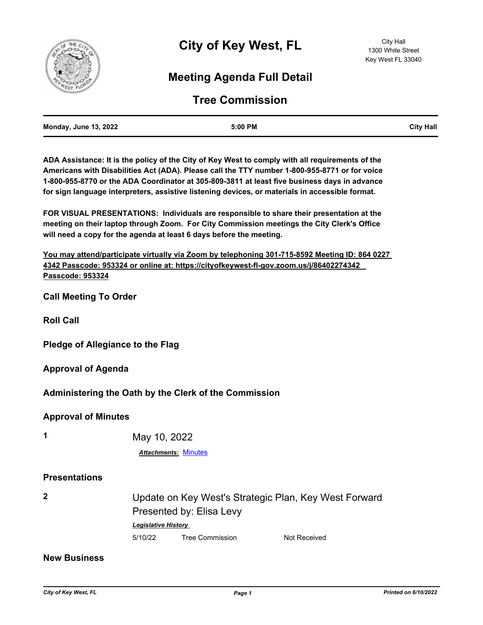

## **Meeting Agenda Full Detail**

## **Tree Commission**

| <b>Monday, June 13, 2022</b> | 5:00 PM | <b>City Hall</b> |
|------------------------------|---------|------------------|
|                              |         |                  |

**ADA Assistance: It is the policy of the City of Key West to comply with all requirements of the Americans with Disabilities Act (ADA). Please call the TTY number 1-800-955-8771 or for voice 1-800-955-8770 or the ADA Coordinator at 305-809-3811 at least five business days in advance for sign language interpreters, assistive listening devices, or materials in accessible format.**

**FOR VISUAL PRESENTATIONS: Individuals are responsible to share their presentation at the meeting on their laptop through Zoom. For City Commission meetings the City Clerk's Office will need a copy for the agenda at least 6 days before the meeting.**

**You may attend/participate virtually via Zoom by telephoning 301-715-8592 Meeting ID: 864 0227 4342 Passcode: 953324 or online at: https://cityofkeywest-fl-gov.zoom.us/j/86402274342 Passcode: 953324**

**Call Meeting To Order**

**Roll Call**

**Pledge of Allegiance to the Flag**

**Approval of Agenda**

**Administering the Oath by the Clerk of the Commission**

## **Approval of Minutes**

**1** May 10, 2022

*Attachments:* [Minutes](http://KeyWest.legistar.com/gateway.aspx?M=F&ID=e266f0d6-f788-48d9-9cbe-0ca28b2fe6b9.pdf)

## **Presentations**

|         | Update on Key West's Strategic Plan, Key West Forward |              |  |
|---------|-------------------------------------------------------|--------------|--|
|         | Presented by: Elisa Levy                              |              |  |
|         | <b>Legislative History</b>                            |              |  |
| 5/10/22 | Tree Commission                                       | Not Received |  |

**New Business**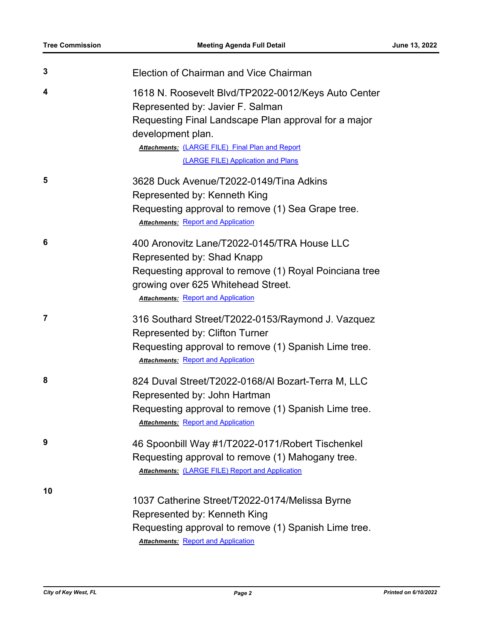| 3  | Election of Chairman and Vice Chairman                                                                                                                                                                                                                               |
|----|----------------------------------------------------------------------------------------------------------------------------------------------------------------------------------------------------------------------------------------------------------------------|
| 4  | 1618 N. Roosevelt Blvd/TP2022-0012/Keys Auto Center<br>Represented by: Javier F. Salman<br>Requesting Final Landscape Plan approval for a major<br>development plan.<br><b>Attachments: (LARGE FILE) Final Plan and Report</b><br>(LARGE FILE) Application and Plans |
| 5  | 3628 Duck Avenue/T2022-0149/Tina Adkins<br>Represented by: Kenneth King<br>Requesting approval to remove (1) Sea Grape tree.<br><b>Attachments: Report and Application</b>                                                                                           |
| 6  | 400 Aronovitz Lane/T2022-0145/TRA House LLC<br>Represented by: Shad Knapp<br>Requesting approval to remove (1) Royal Poinciana tree<br>growing over 625 Whitehead Street.<br><b>Attachments: Report and Application</b>                                              |
| 7  | 316 Southard Street/T2022-0153/Raymond J. Vazquez<br><b>Represented by: Clifton Turner</b><br>Requesting approval to remove (1) Spanish Lime tree.<br><b>Attachments: Report and Application</b>                                                                     |
| 8  | 824 Duval Street/T2022-0168/Al Bozart-Terra M, LLC<br>Represented by: John Hartman<br>Requesting approval to remove (1) Spanish Lime tree.<br><b>Attachments: Report and Application</b>                                                                             |
| 9  | 46 Spoonbill Way #1/T2022-0171/Robert Tischenkel<br>Requesting approval to remove (1) Mahogany tree.<br><b>Attachments: (LARGE FILE) Report and Application</b>                                                                                                      |
| 10 | 1037 Catherine Street/T2022-0174/Melissa Byrne<br>Represented by: Kenneth King<br>Requesting approval to remove (1) Spanish Lime tree.<br><b>Attachments: Report and Application</b>                                                                                 |